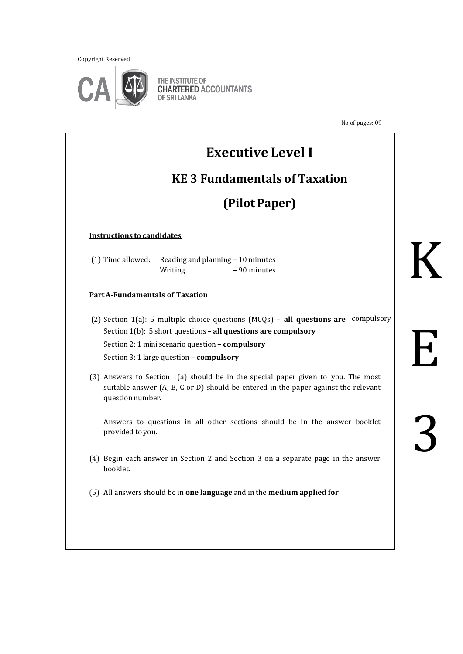Copyright Reserved



THE INSTITUTE OF **CHARTERED ACCOUNTANTS** OF SRI LANKA

No of pages: 09

# **Executive Level I**

## **KE 3 Fundamentals of Taxation**

# **(Pilot Paper)**

#### **Instructions to candidates**

|         | $(1)$ Time allowed: Reading and planning $-10$ minutes |
|---------|--------------------------------------------------------|
| Writing | -90 minutes                                            |

#### **Part A-Fundamentals of Taxation**

(2) Section 1(a): 5 multiple choice questions (MCQs) – **all questions are** compulsorySection 1(b): 5 short questions – **all questions are compulsory**  Section 2: 1 mini scenario question – **compulsory** Section 3: 1 large question – **compulsory**

(3) Answers to Section 1(a) should be in the special paper given to you. The most suitable answer (A, B, C or D) should be entered in the paper against the relevant question number.

Answers to questions in all other sections should be in the answer booklet provided to you.

- (4) Begin each answer in Section 2 and Section 3 on a separate page in the answer booklet.
- (5) All answers should be in **one language** and in the **medium applied for**

# K

E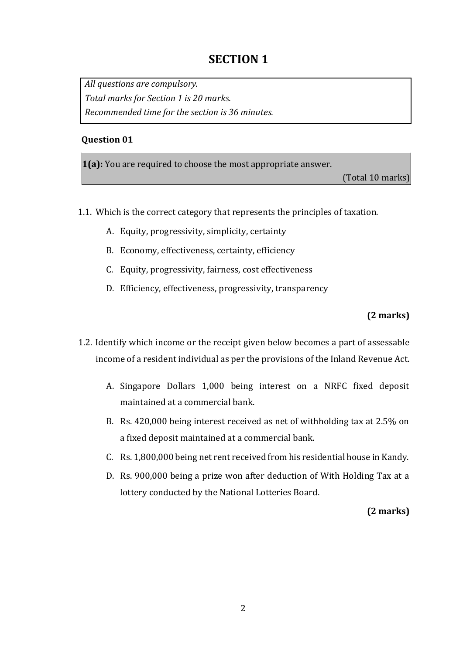## **SECTION 1**

*All questions are compulsory. Total marks for Section 1 is 20 marks. Recommended time for the section is 36 minutes.* 

#### **Question 01**

**1(a):** You are required to choose the most appropriate answer.

(Total 10 marks)

- 1.1. Which is the correct category that represents the principles of taxation.
	- A. Equity, progressivity, simplicity, certainty
	- B. Economy, effectiveness, certainty, efficiency
	- C. Equity, progressivity, fairness, cost effectiveness
	- D. Efficiency, effectiveness, progressivity, transparency

#### **(2 marks)**

- 1.2. Identify which income or the receipt given below becomes a part of assessable income of a resident individual as per the provisions of the Inland Revenue Act.
	- A. Singapore Dollars 1,000 being interest on a NRFC fixed deposit maintained at a commercial bank.
	- B. Rs. 420,000 being interest received as net of withholding tax at 2.5% on a fixed deposit maintained at a commercial bank.
	- C. Rs. 1,800,000 being net rent received from his residential house in Kandy.
	- D. Rs. 900,000 being a prize won after deduction of With Holding Tax at a lottery conducted by the National Lotteries Board.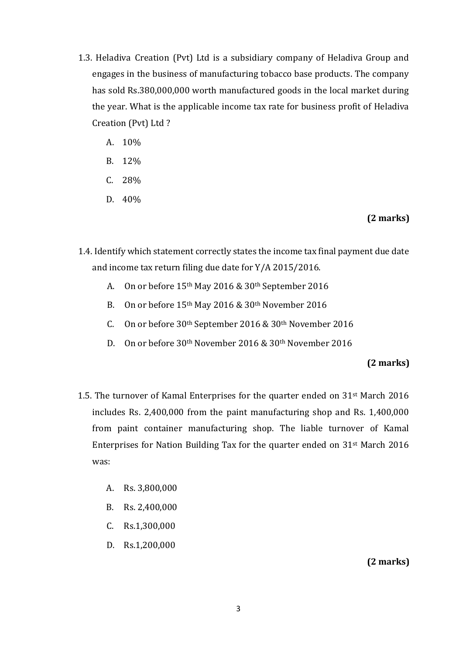- 1.3. Heladiva Creation (Pvt) Ltd is a subsidiary company of Heladiva Group and engages in the business of manufacturing tobacco base products. The company has sold Rs.380,000,000 worth manufactured goods in the local market during the year. What is the applicable income tax rate for business profit of Heladiva Creation (Pvt) Ltd ?
	- A. 10%
	- B. 12%
	- C. 28%
	- D. 40%

#### **(2 marks)**

- 1.4. Identify which statement correctly states the income tax final payment due date and income tax return filing due date for Y/A 2015/2016.
	- A. On or before 15th May 2016 & 30th September 2016
	- B. On or before 15th May 2016 & 30th November 2016
	- C. On or before 30th September 2016 & 30th November 2016
	- D. On or before 30th November 2016 & 30th November 2016

#### **(2 marks)**

- 1.5. The turnover of Kamal Enterprises for the quarter ended on 31st March 2016 includes Rs. 2,400,000 from the paint manufacturing shop and Rs. 1,400,000 from paint container manufacturing shop. The liable turnover of Kamal Enterprises for Nation Building Tax for the quarter ended on 31st March 2016 was:
	- A. Rs. 3,800,000
	- B. Rs. 2,400,000
	- C. Rs.1,300,000
	- D. Rs.1,200,000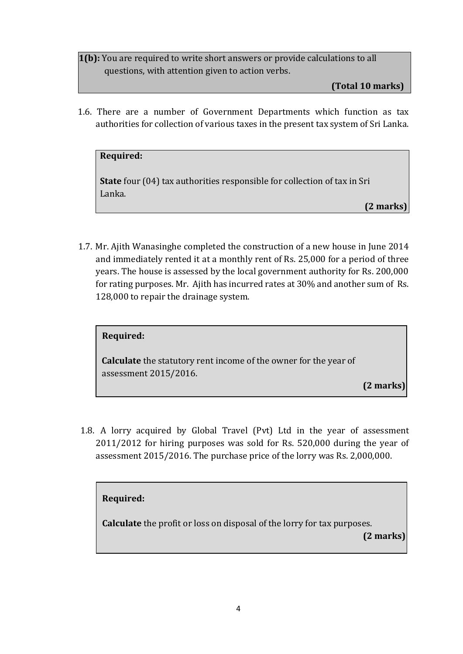**1(b):** You are required to write short answers or provide calculations to all questions, with attention given to action verbs.

**(Total 10 marks)**

1.6. There are a number of Government Departments which function as tax authorities for collection of various taxes in the present tax system of Sri Lanka.

#### **Required:**

**State** four (04) tax authorities responsible for collection of tax in Sri Lanka.

**(2 marks)**

1.7. Mr. Ajith Wanasinghe completed the construction of a new house in June 2014 and immediately rented it at a monthly rent of Rs. 25,000 for a period of three years. The house is assessed by the local government authority for Rs. 200,000 for rating purposes. Mr. Ajith has incurred rates at 30% and another sum of Rs. 128,000 to repair the drainage system.

| Required: |  |
|-----------|--|

**Calculate** the statutory rent income of the owner for the year of assessment 2015/2016.

**(2 marks)**

1.8. A lorry acquired by Global Travel (Pvt) Ltd in the year of assessment 2011/2012 for hiring purposes was sold for Rs. 520,000 during the year of assessment 2015/2016. The purchase price of the lorry was Rs. 2,000,000.

#### **Required:**

**Calculate** the profit or loss on disposal of the lorry for tax purposes.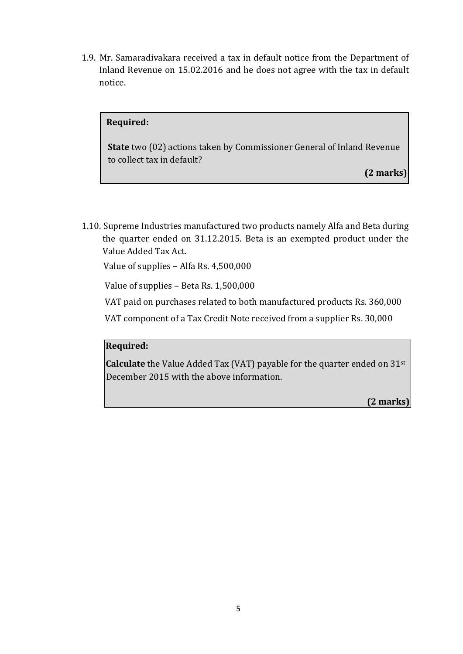1.9. Mr. Samaradivakara received a tax in default notice from the Department of Inland Revenue on 15.02.2016 and he does not agree with the tax in default notice.

#### **Required:**

**State** two (02) actions taken by Commissioner General of Inland Revenue to collect tax in default?

**(2 marks)**

1.10. Supreme Industries manufactured two products namely Alfa and Beta during the quarter ended on 31.12.2015. Beta is an exempted product under the Value Added Tax Act.

Value of supplies – Alfa Rs. 4,500,000

Value of supplies – Beta Rs. 1,500,000

VAT paid on purchases related to both manufactured products Rs. 360,000

VAT component of a Tax Credit Note received from a supplier Rs. 30,000

#### **Required:**

**Calculate** the Value Added Tax (VAT) payable for the quarter ended on 31st December 2015 with the above information.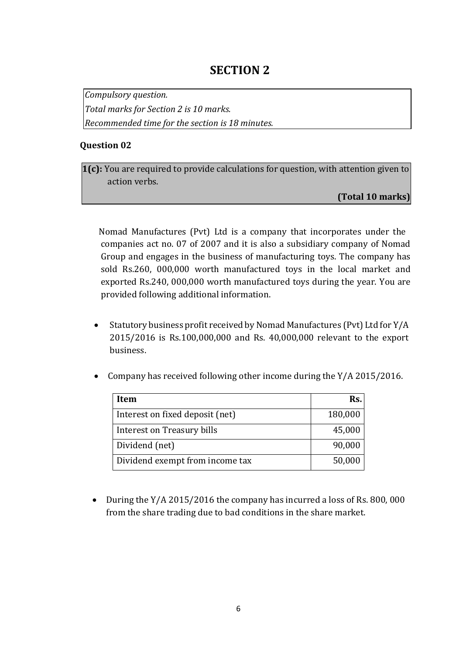## **SECTION 2**

*Compulsory question.* 

*Total marks for Section 2 is 10 marks.* 

*Recommended time for the section is 18 minutes.* 

#### **Question 02**

**1(c):** You are required to provide calculations for question, with attention given to action verbs.

**(Total 10 marks)**

Nomad Manufactures (Pvt) Ltd is a company that incorporates under the companies act no. 07 of 2007 and it is also a subsidiary company of Nomad Group and engages in the business of manufacturing toys. The company has sold Rs.260, 000,000 worth manufactured toys in the local market and exported Rs.240, 000,000 worth manufactured toys during the year. You are provided following additional information.

- Statutory business profit received by Nomad Manufactures (Pvt) Ltd for Y/A 2015/2016 is Rs.100,000,000 and Rs. 40,000,000 relevant to the export business.
- Company has received following other income during the Y/A 2015/2016.

| Item                            | Rs.     |
|---------------------------------|---------|
| Interest on fixed deposit (net) | 180,000 |
| Interest on Treasury bills      | 45,000  |
| Dividend (net)                  | 90,000  |
| Dividend exempt from income tax | 50,000  |

• During the Y/A 2015/2016 the company has incurred a loss of Rs. 800, 000 from the share trading due to bad conditions in the share market.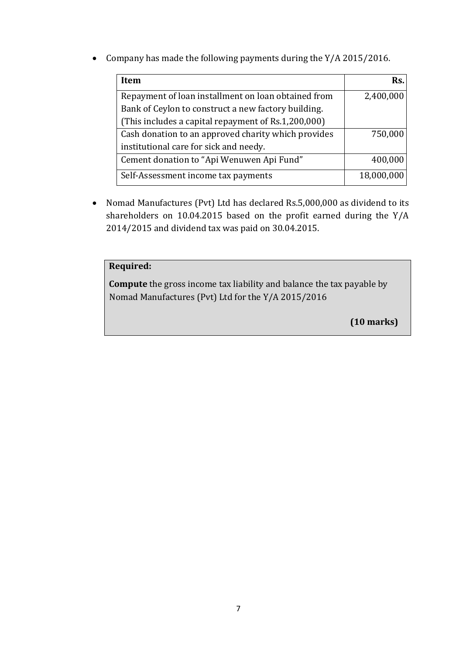Company has made the following payments during the Y/A 2015/2016.

| Item                                                | Rs.        |
|-----------------------------------------------------|------------|
| Repayment of loan installment on loan obtained from | 2,400,000  |
| Bank of Ceylon to construct a new factory building. |            |
| (This includes a capital repayment of Rs.1,200,000) |            |
| Cash donation to an approved charity which provides | 750,000    |
| institutional care for sick and needy.              |            |
| Cement donation to "Api Wenuwen Api Fund"           | 400,000    |
| Self-Assessment income tax payments                 | 18,000,000 |

 Nomad Manufactures (Pvt) Ltd has declared Rs.5,000,000 as dividend to its shareholders on 10.04.2015 based on the profit earned during the Y/A 2014/2015 and dividend tax was paid on 30.04.2015.

#### **Required:**

**Compute** the gross income tax liability and balance the tax payable by Nomad Manufactures (Pvt) Ltd for the Y/A 2015/2016

**(10 marks)**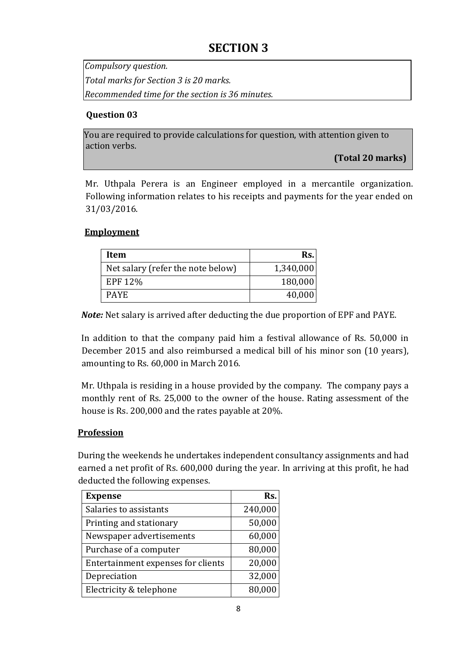## **SECTION 3**

*Compulsory question. Total marks for Section 3 is 20 marks. Recommended time for the section is 36 minutes.* 

#### **Question 03**

You are required to provide calculations for question, with attention given to action verbs.

**(Total 20 marks)**

Mr. Uthpala Perera is an Engineer employed in a mercantile organization. Following information relates to his receipts and payments for the year ended on 31/03/2016.

#### **Employment**

| Item                              | Rs.       |
|-----------------------------------|-----------|
| Net salary (refer the note below) | 1,340,000 |
| EPF 12%                           | 180,000   |
| <b>PAYE</b>                       | 40,000    |

*Note:* Net salary is arrived after deducting the due proportion of EPF and PAYE.

In addition to that the company paid him a festival allowance of Rs. 50,000 in December 2015 and also reimbursed a medical bill of his minor son (10 years), amounting to Rs. 60,000 in March 2016.

Mr. Uthpala is residing in a house provided by the company. The company pays a monthly rent of Rs. 25,000 to the owner of the house. Rating assessment of the house is Rs. 200,000 and the rates payable at 20%.

#### **Profession**

During the weekends he undertakes independent consultancy assignments and had earned a net profit of Rs. 600,000 during the year. In arriving at this profit, he had deducted the following expenses.

| <b>Expense</b>                     | Rs.     |
|------------------------------------|---------|
| Salaries to assistants             | 240,000 |
| Printing and stationary            | 50,000  |
| Newspaper advertisements           | 60,000  |
| Purchase of a computer             | 80,000  |
| Entertainment expenses for clients | 20,000  |
| Depreciation                       | 32,000  |
| Electricity & telephone            | 80,000  |